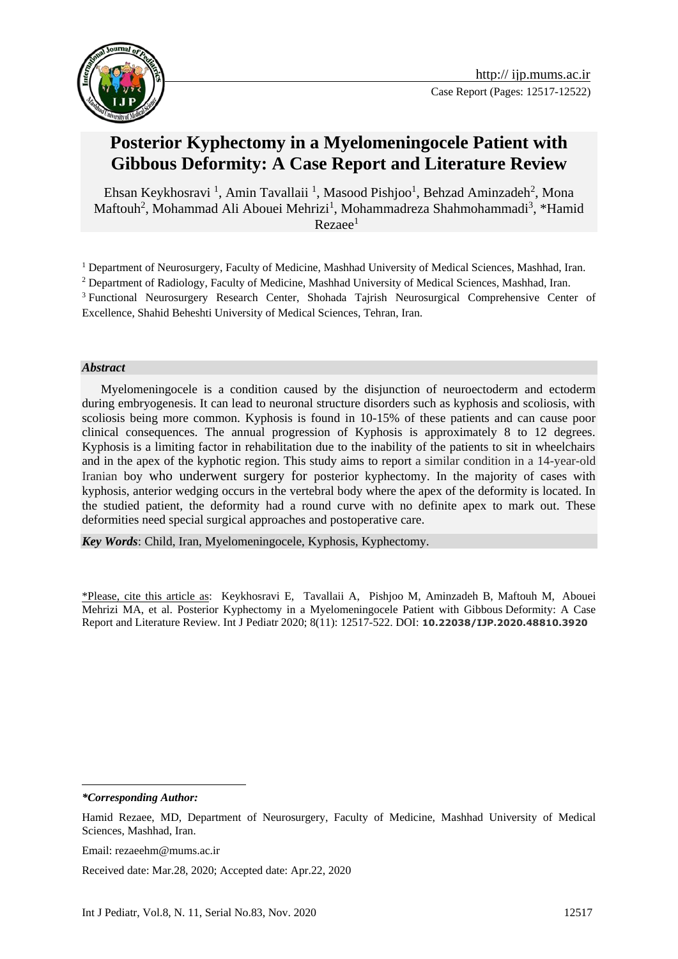

# **Posterior Kyphectomy in a Myelomeningocele Patient with Gibbous [Deformity:](https://www.google.com/search?q=gibbus+deformity&spell=1&sa=X&ved=2ahUKEwjg4vXB4qXoAhUGyqQKHTrRDnwQkeECKAB6BAgPECM) A Case Report and Literature Review**

[Ehsan Keykhosravi](http://ijp.mums.ac.ir/?_action=article&au=153147&_au=Ehsan++Keykhosravi)<sup>[1](http://ijp.mums.ac.ir/article_16337_0.html#aff1)</sup>, [Amin Tavallaii](http://ijp.mums.ac.ir/?_action=article&au=176015&_au=Amin++Tavallaii)<sup>1</sup>, [Masood Pishjoo](http://ijp.mums.ac.ir/?_action=article&au=176016&_au=Masood++Pishjoo)<sup>1</sup>, [Behzad Aminzadeh](http://ijp.mums.ac.ir/?_action=article&au=176017&_au=Behzad++Aminzadeh)<sup>[2](http://ijp.mums.ac.ir/article_16337_0.html#aff2)</sup>, [Mona](http://ijp.mums.ac.ir/?_action=article&au=176019&_au=Mona++Maftouh) [Maftouh](http://ijp.mums.ac.ir/?_action=article&au=176019&_au=Mona++Maftouh)<sup>2</sup>, [Mohammad Ali Abouei Mehrizi](http://ijp.mums.ac.ir/?_action=article&au=176020&_au=Mohammad+Ali++Abouei+Mehrizi)<sup>[1](http://ijp.mums.ac.ir/article_16337_0.html#aff1)</sup>, [Mohammadreza Shahmohammadi](http://ijp.mums.ac.ir/?_action=article&au=176021&_au=Mohammadreza++Shahmohammadi)<sup>3</sup>[,](http://ijp.mums.ac.ir/article_16337_0.html#aff3) \*Hamid  $Rezae<sup>1</sup>$ 

<sup>1</sup> Department of Neurosurgery, Faculty of Medicine, Mashhad University of Medical Sciences, Mashhad, Iran. <sup>2</sup> Department of Radiology, Faculty of Medicine, Mashhad University of Medical Sciences, Mashhad, Iran. <sup>3</sup> Functional Neurosurgery Research Center, Shohada Tajrish Neurosurgical Comprehensive Center of Excellence, Shahid Beheshti University of Medical Sciences, Tehran, Iran.

#### *Abstract*

 Myelomeningocele is a condition caused by the disjunction of neuroectoderm and ectoderm during embryogenesis. It can lead to neuronal structure disorders such as kyphosis and scoliosis, with scoliosis being more common. Kyphosis is found in 10-15% of these patients and can cause poor clinical consequences. The annual progression of Kyphosis is approximately 8 to 12 degrees. Kyphosis is a limiting factor in rehabilitation due to the inability of the patients to sit in wheelchairs and in the apex of the kyphotic region. This study aims to report a similar condition in a 14-year-old Iranian boy who underwent surgery for posterior kyphectomy. In the majority of cases with kyphosis, anterior wedging occurs in the [vertebral body](https://www.sciencedirect.com/topics/medicine-and-dentistry/body-of-vertebra) where the apex of the deformity is located. In the studied patient, the deformity had a round curve with no definite apex to mark out. These deformities need special surgical approaches and postoperative care.

*Key Words*: Child, Iran, Myelomeningocele, Kyphosis, Kyphectomy.

\*Please, cite this article as: [Keykhosravi](http://ijp.mums.ac.ir/?_action=article&au=153147&_au=Ehsan++Keykhosravi) E, [Tavallaii](http://ijp.mums.ac.ir/?_action=article&au=176015&_au=Amin++Tavallaii) A, [Pishjoo](http://ijp.mums.ac.ir/?_action=article&au=176016&_au=Masood++Pishjoo) M, [Aminzadeh](http://ijp.mums.ac.ir/?_action=article&au=176017&_au=Behzad++Aminzadeh) B, [Maftouh](http://ijp.mums.ac.ir/?_action=article&au=176019&_au=Mona++Maftouh) M, [Abouei](http://ijp.mums.ac.ir/?_action=article&au=176020&_au=Mohammad+Ali++Abouei+Mehrizi)  [Mehrizi](http://ijp.mums.ac.ir/?_action=article&au=176020&_au=Mohammad+Ali++Abouei+Mehrizi) MA, et al. Posterior Kyphectomy in a Myelomeningocele Patient with Gibbous [Deformity:](https://www.google.com/search?q=gibbus+deformity&spell=1&sa=X&ved=2ahUKEwjg4vXB4qXoAhUGyqQKHTrRDnwQkeECKAB6BAgPECM) A Case Report and Literature Review. Int J Pediatr 2020; 8(11): 12517-522. DOI: **10.22038/IJP.2020.48810.3920**

*\*Corresponding Author:*

1

Email: rezaeehm@mums.ac.ir

Received date: Mar.28, 2020; Accepted date: Apr.22, 2020

Hamid Rezaee, MD, Department of Neurosurgery, Faculty of Medicine, Mashhad University of Medical Sciences, Mashhad, Iran.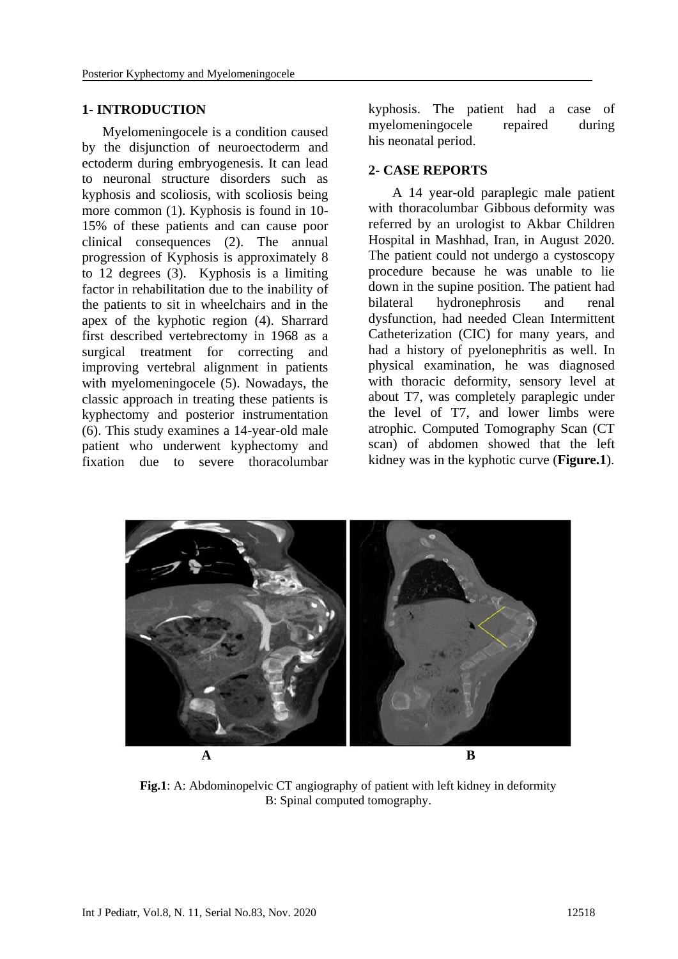### **1- INTRODUCTION**

 Myelomeningocele is a condition caused by the disjunction of neuroectoderm and ectoderm during embryogenesis. It can lead to neuronal structure disorders such as kyphosis and scoliosis, with scoliosis being more common (1). Kyphosis is found in 10- 15% of these patients and can cause poor clinical consequences (2). The annual progression of Kyphosis is approximately 8 to 12 degrees (3). Kyphosis is a limiting factor in rehabilitation due to the inability of the patients to sit in wheelchairs and in the apex of the kyphotic region (4). Sharrard first described vertebrectomy in 1968 as a surgical treatment for correcting and improving vertebral alignment in patients with myelomeningocele (5). Nowadays, the classic approach in treating these patients is kyphectomy and posterior instrumentation (6). This study examines a 14-year-old male patient who underwent kyphectomy and fixation due to severe thoracolumbar

kyphosis. The patient had a case of myelomeningocele repaired during his [neonatal period.](https://www.sciencedirect.com/topics/medicine-and-dentistry/newborn-period)

## **2- CASE REPORTS**

 A 14 year-old paraplegic male patient with thoracolumbar Gibbous deformity was referred by an urologist to Akbar Children Hospital in Mashhad, Iran, in August 2020. The patient could not undergo a cystoscopy procedure because he was unable to lie down in the supine position. The patient had bilateral hydronephrosis and renal dysfunction, had needed Clean Intermittent Catheterization (CIC) for many years, and had a history of pyelonephritis as well. In physical examination, he was diagnosed with thoracic deformity, sensory level at about T7, was completely paraplegic under the level of T7, and lower limbs were atrophic. Computed Tomography Scan (CT scan) of abdomen showed that the left kidney was in the kyphotic curve (**Figure.1**).



**Fig.1**: A: Abdominopelvic CT angiography of patient with left kidney in deformity B: Spinal computed tomography.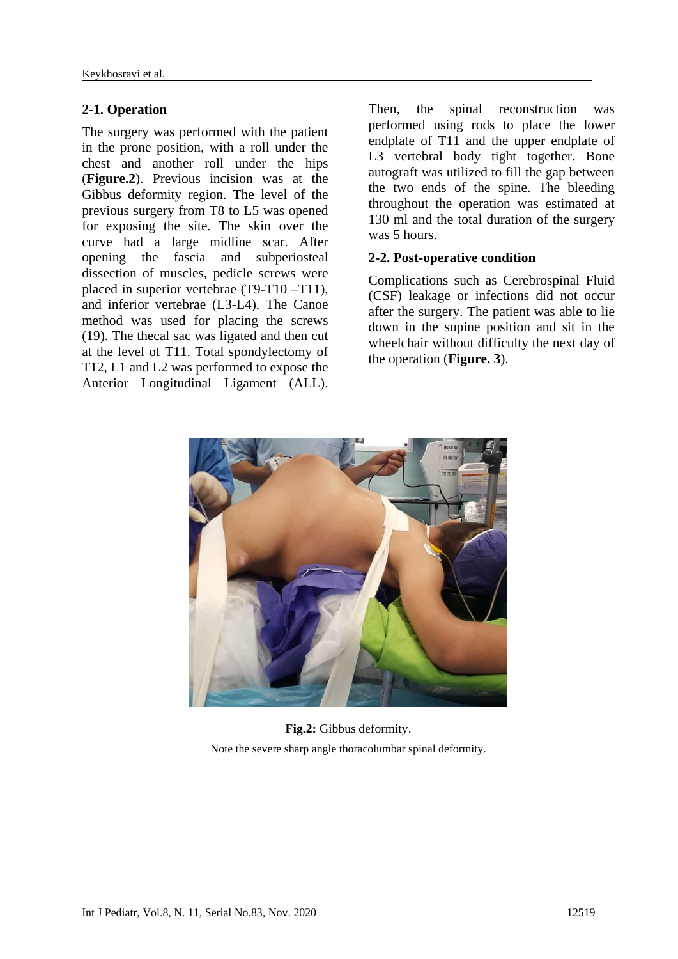## **2-1. Operation**

The surgery was performed with the patient in the prone position, with a roll under the chest and another roll under the hips (**Figure.2**). Previous incision was at the Gibbus deformity region. The level of the previous surgery from T8 to L5 was opened for exposing the site. The skin over the curve had a large midline scar. After opening the fascia and subperiosteal dissection of muscles, pedicle screws were placed in superior vertebrae (T9-T10 –T11), and inferior vertebrae (L3-L4). The Canoe method was used for placing the screws (19). The thecal sac was ligated and then cut at the level of T11. Total spondylectomy of T12, L1 and L2 was performed to expose the Anterior Longitudinal Ligament (ALL).

Then, the spinal reconstruction was performed using rods to place the lower endplate of T11 and the upper endplate of L3 vertebral body tight together. Bone autograft was utilized to fill the gap between the two ends of the spine. The bleeding throughout the operation was estimated at 130 ml and the total duration of the surgery was 5 hours.

### **2-2. Post-operative condition**

Complications such as Cerebrospinal Fluid (CSF) leakage or infections did not occur after the surgery. The patient was able to lie down in the supine position and sit in the wheelchair without difficulty the next day of the operation (**Figure. 3**).



**Fig.2:** Gibbus deformity. Note the severe sharp angle thoracolumbar spinal deformity.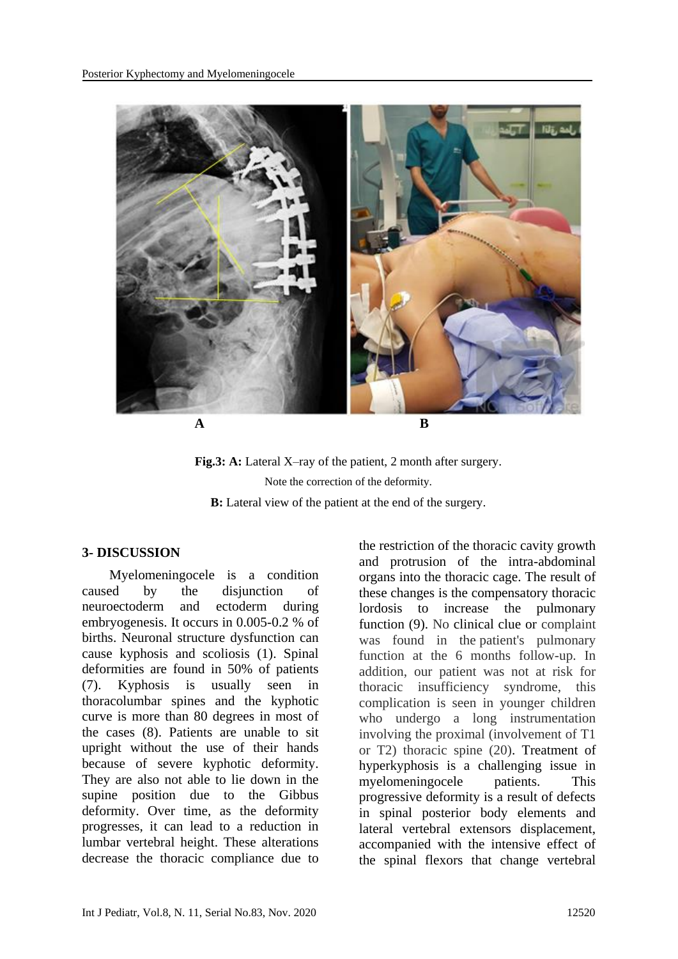



#### **3- DISCUSSION**

 Myelomeningocele is a condition caused by the disjunction of neuroectoderm and ectoderm during embryogenesis. It occurs in 0.005-0.2 % of births. Neuronal structure dysfunction can cause kyphosis and scoliosis (1). Spinal deformities are found in 50% of patients (7). Kyphosis is usually seen in thoracolumbar spines and the kyphotic curve is more than 80 degrees in most of the cases (8). Patients are unable to sit upright without the use of their hands because of severe kyphotic deformity. They are also not able to lie down in the supine position due to the Gibbus deformity. Over time, as the deformity progresses, it can lead to a reduction in lumbar vertebral height. These alterations decrease the thoracic compliance due to the restriction of the thoracic cavity growth and protrusion of the intra-abdominal organs into the thoracic cage. The result of these changes is the compensatory thoracic lordosis to increase the pulmonary function (9). No clinical clue or complaint was found in the patient's pulmonary function at the 6 months follow-up. In addition, our patient was not at risk for thoracic insufficiency syndrome, this complication is seen in younger children who undergo a long instrumentation involving the proximal (involvement of T1 or T2) thoracic spine (20). Treatment of hyperkyphosis is a challenging issue in myelomeningocele patients. This progressive deformity is a result of defects in spinal posterior body elements and lateral vertebral extensors displacement, accompanied with the intensive effect of the spinal flexors that change vertebral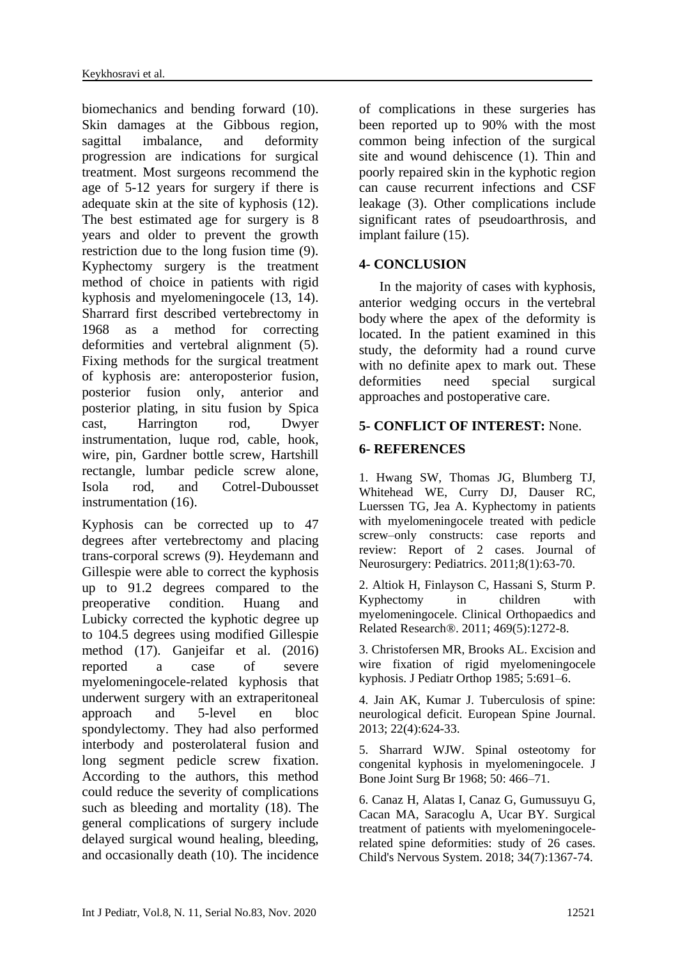biomechanics and bending forward (10). Skin damages at the Gibbous region, sagittal imbalance, and deformity progression are indications for surgical treatment. Most surgeons recommend the age of 5-12 years for surgery if there is adequate skin at the site of kyphosis (12). The best estimated age for surgery is 8 years and older to prevent the growth restriction due to the long fusion time (9). Kyphectomy surgery is the treatment method of choice in patients with rigid kyphosis and myelomeningocele (13, 14). Sharrard first described vertebrectomy in 1968 as a method for correcting deformities and vertebral alignment (5). Fixing methods for the surgical treatment of kyphosis are: anteroposterior fusion, posterior fusion only, anterior and posterior plating, in situ fusion by Spica cast, Harrington rod, Dwyer instrumentation, luque rod, cable, hook, wire, pin, Gardner bottle screw, Hartshill rectangle, lumbar pedicle screw alone, Isola rod, and Cotrel-Dubousset instrumentation (16).

Kyphosis can be corrected up to 47 degrees after vertebrectomy and placing trans-corporal screws (9). Heydemann and Gillespie were able to correct the kyphosis up to 91.2 degrees compared to the preoperative condition. Huang and Lubicky corrected the kyphotic degree up to 104.5 degrees using modified Gillespie method (17). Ganjeifar et al. (2016) reported a case of severe myelomeningocele-related kyphosis that underwent surgery with an extraperitoneal approach and 5-level en bloc spondylectomy. They had also performed interbody and posterolateral fusion and long segment pedicle screw fixation. According to the authors, this method could reduce the severity of complications such as bleeding and mortality (18). The general complications of surgery include delayed surgical wound healing, bleeding, and occasionally death (10). The incidence

of complications in these surgeries has been reported up to 90% with the most common being infection of the surgical site and wound dehiscence (1). Thin and poorly repaired skin in the kyphotic region can cause recurrent infections and CSF leakage (3). Other complications include significant rates of pseudoarthrosis, and implant failure (15).

# **4- CONCLUSION**

 In the majority of cases with kyphosis, anterior wedging occurs in the [vertebral](https://www.sciencedirect.com/topics/medicine-and-dentistry/body-of-vertebra)  [body](https://www.sciencedirect.com/topics/medicine-and-dentistry/body-of-vertebra) where the apex of the deformity is located. In the patient examined in this study, the deformity had a round curve with no definite apex to mark out. These deformities need special surgical approaches and postoperative care.

# **5- CONFLICT OF INTEREST:** None.

# **6- REFERENCES**

1. Hwang SW, Thomas JG, Blumberg TJ, Whitehead WE, Curry DJ, Dauser RC, Luerssen TG, Jea A. Kyphectomy in patients with myelomeningocele treated with pedicle screw–only constructs: case reports and review: Report of 2 cases. Journal of Neurosurgery: Pediatrics. 2011;8(1):63-70.

2. Altiok H, Finlayson C, Hassani S, Sturm P. Kyphectomy in children with myelomeningocele. Clinical Orthopaedics and Related Research®. 2011; 469(5):1272-8.

3. Christofersen MR, Brooks AL. Excision and wire fixation of rigid myelomeningocele kyphosis. J Pediatr Orthop 1985; 5:691–6.

4. Jain AK, Kumar J. Tuberculosis of spine: neurological deficit. European Spine Journal. 2013; 22(4):624-33.

5. Sharrard WJW. Spinal osteotomy for congenital kyphosis in myelomeningocele. J Bone Joint Surg Br 1968; 50: 466–71.

6. Canaz H, Alatas I, Canaz G, Gumussuyu G, Cacan MA, Saracoglu A, Ucar BY. Surgical treatment of patients with myelomeningocelerelated spine deformities: study of 26 cases. Child's Nervous System. 2018; 34(7):1367-74.